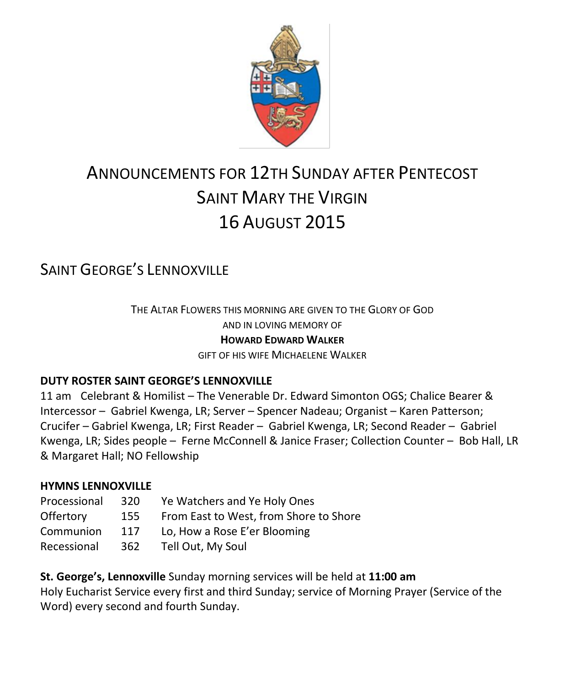

# ANNOUNCEMENTS FOR 12TH SUNDAY AFTER PENTECOST SAINT MARY THE VIRGIN 16 AUGUST 2015

# SAINT GEORGE'S LENNOXVILLE

THE ALTAR FLOWERS THIS MORNING ARE GIVEN TO THE GLORY OF GOD AND IN LOVING MEMORY OF **HOWARD EDWARD WALKER** GIFT OF HIS WIFE MICHAELENE WALKER

#### **DUTY ROSTER SAINT GEORGE'S LENNOXVILLE**

11 am Celebrant & Homilist – The Venerable Dr. Edward Simonton OGS; Chalice Bearer & Intercessor – Gabriel Kwenga, LR; Server – Spencer Nadeau; Organist – Karen Patterson; Crucifer – Gabriel Kwenga, LR; First Reader – Gabriel Kwenga, LR; Second Reader – Gabriel Kwenga, LR; Sides people – Ferne McConnell & Janice Fraser; Collection Counter – Bob Hall, LR & Margaret Hall; NO Fellowship

#### **HYMNS LENNOXVILLE**

| 320 | Ye Watchers and Ye Holy Ones           |
|-----|----------------------------------------|
| 155 | From East to West, from Shore to Shore |
| 117 | Lo, How a Rose E'er Blooming           |
| 362 | Tell Out, My Soul                      |
|     |                                        |

**St. George's, Lennoxville** Sunday morning services will be held at **11:00 am** Holy Eucharist Service every first and third Sunday; service of Morning Prayer (Service of the Word) every second and fourth Sunday.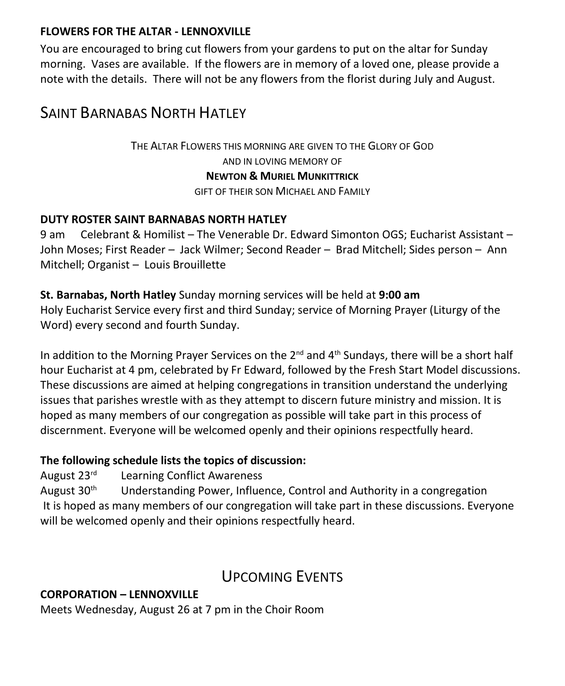#### **FLOWERS FOR THE ALTAR - LENNOXVILLE**

You are encouraged to bring cut flowers from your gardens to put on the altar for Sunday morning. Vases are available. If the flowers are in memory of a loved one, please provide a note with the details. There will not be any flowers from the florist during July and August.

### SAINT BARNABAS NORTH HATLEY

THE ALTAR FLOWERS THIS MORNING ARE GIVEN TO THE GLORY OF GOD AND IN LOVING MEMORY OF **NEWTON & MURIEL MUNKITTRICK** GIFT OF THEIR SON MICHAEL AND FAMILY

#### **DUTY ROSTER SAINT BARNABAS NORTH HATLEY**

9 am Celebrant & Homilist – The Venerable Dr. Edward Simonton OGS; Eucharist Assistant – John Moses; First Reader – Jack Wilmer; Second Reader – Brad Mitchell; Sides person – Ann Mitchell; Organist – Louis Brouillette

**St. Barnabas, North Hatley** Sunday morning services will be held at **9:00 am** Holy Eucharist Service every first and third Sunday; service of Morning Prayer (Liturgy of the Word) every second and fourth Sunday.

In addition to the Morning Prayer Services on the 2<sup>nd</sup> and 4<sup>th</sup> Sundays, there will be a short half hour Eucharist at 4 pm, celebrated by Fr Edward, followed by the Fresh Start Model discussions. These discussions are aimed at helping congregations in transition understand the underlying issues that parishes wrestle with as they attempt to discern future ministry and mission. It is hoped as many members of our congregation as possible will take part in this process of discernment. Everyone will be welcomed openly and their opinions respectfully heard.

#### **The following schedule lists the topics of discussion:**

August 23rd Learning Conflict Awareness

August  $30<sup>th</sup>$  Understanding Power, Influence, Control and Authority in a congregation It is hoped as many members of our congregation will take part in these discussions. Everyone will be welcomed openly and their opinions respectfully heard.

### UPCOMING EVENTS

#### **CORPORATION – LENNOXVILLE**

Meets Wednesday, August 26 at 7 pm in the Choir Room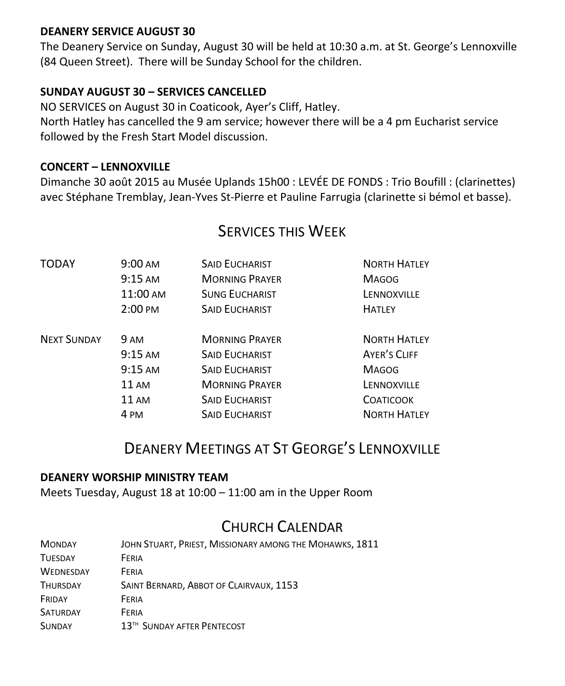#### **DEANERY SERVICE AUGUST 30**

The Deanery Service on Sunday, August 30 will be held at 10:30 a.m. at St. George's Lennoxville (84 Queen Street). There will be Sunday School for the children.

#### **SUNDAY AUGUST 30 – SERVICES CANCELLED**

NO SERVICES on August 30 in Coaticook, Ayer's Cliff, Hatley. North Hatley has cancelled the 9 am service; however there will be a 4 pm Eucharist service followed by the Fresh Start Model discussion.

#### **CONCERT – LENNOXVILLE**

Dimanche 30 août 2015 au Musée Uplands 15h00 : LEVÉE DE FONDS : Trio Boufill : (clarinettes) avec Stéphane Tremblay, Jean-Yves St-Pierre et Pauline Farrugia (clarinette si bémol et basse).

### TODAY 9:00 AM SAID EUCHARIST NORTH HATLEY 9:15 AM MORNING PRAYER MAGOG 11:00 AM SUNG EUCHARIST SUNG LENNOXVILLE 2:00 PM SAID EUCHARIST SAID HATLEY NEXT SUNDAY 9 AM **MORNING PRAYER** NORTH HATLEY 9:15 AM SAID FUCHARIST AYER'S CLIFF 9:15 AM SAID EUCHARIST MAGOG 11 AM **MORNING PRAYER** LENNOXVILLE 11 AM SAID EUCHARIST COATICOOK 4 PM SAID EUCHARIST NORTH HATLEY

### SERVICES THIS WEEK

# DEANERY MEETINGS AT ST GEORGE'S LENNOXVILLE

#### **DEANERY WORSHIP MINISTRY TEAM**

Meets Tuesday, August 18 at 10:00 – 11:00 am in the Upper Room

# CHURCH CALENDAR

| <b>MONDAY</b>    | JOHN STUART, PRIEST, MISSIONARY AMONG THE MOHAWKS, 1811 |
|------------------|---------------------------------------------------------|
| <b>TUESDAY</b>   | FERIA                                                   |
| <b>WEDNESDAY</b> | FFRIA                                                   |
| <b>THURSDAY</b>  | SAINT BERNARD, ABBOT OF CLAIRVAUX, 1153                 |
| FRIDAY           | FERIA                                                   |
| <b>SATURDAY</b>  | FFRIA                                                   |
| <b>SUNDAY</b>    | 13 <sup>TH</sup> SUNDAY AFTER PENTECOST                 |